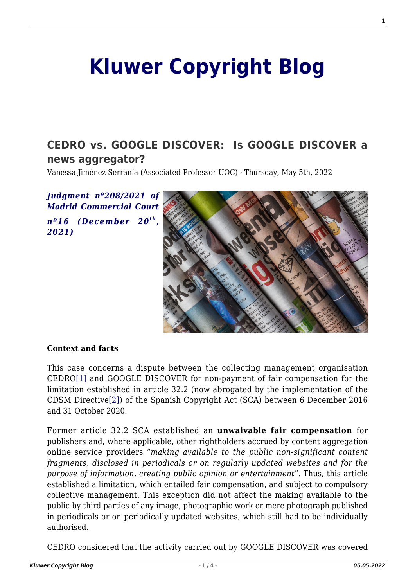# **[Kluwer Copyright Blog](http://copyrightblog.kluweriplaw.com/)**

### **[CEDRO vs. GOOGLE DISCOVER: Is GOOGLE DISCOVER a](http://copyrightblog.kluweriplaw.com/2022/05/05/cedro-vs-google-discover-is-google-discover-a-news-aggregator/) [news aggregator?](http://copyrightblog.kluweriplaw.com/2022/05/05/cedro-vs-google-discover-is-google-discover-a-news-aggregator/)**

Vanessa Jiménez Serranía (Associated Professor UOC) · Thursday, May 5th, 2022

*[Judgment nº208/2021 of](https://www.poderjudicial.es/search/AN/openDocument/70f8843674eafaaa/20220104) [Madrid Commercial Court](https://www.poderjudicial.es/search/AN/openDocument/70f8843674eafaaa/20220104) [nº16 \(December 20](https://www.poderjudicial.es/search/AN/openDocument/70f8843674eafaaa/20220104)[t h](https://www.poderjudicial.es/search/AN/openDocument/70f8843674eafaaa/20220104) [,](https://www.poderjudicial.es/search/AN/openDocument/70f8843674eafaaa/20220104) [2021\)](https://www.poderjudicial.es/search/AN/openDocument/70f8843674eafaaa/20220104)*



#### **Context and facts**

<span id="page-0-0"></span>This case concerns a dispute between the collecting management organisation CEDRO[\[1\]](#page-2-0) and GOOGLE DISCOVER for non-payment of fair compensation for the limitation established in article 32.2 (now abrogated by the implementation of the CDSM Directiv[e\[2\]\)](#page-2-1) of the Spanish Copyright Act (SCA) between 6 December 2016 and 31 October 2020.

<span id="page-0-1"></span>Former article 32.2 SCA established an **unwaivable fair compensation** for publishers and, where applicable, other rightholders accrued by content aggregation online service providers "*making available to the public non-significant content fragments, disclosed in periodicals or on regularly updated websites and for the purpose of information, creating public opinion or entertainment*". Thus, this article established a limitation, which entailed fair compensation, and subject to compulsory collective management. This exception did not affect the making available to the public by third parties of any image, photographic work or mere photograph published in periodicals or on periodically updated websites, which still had to be individually authorised.

CEDRO considered that the activity carried out by GOOGLE DISCOVER was covered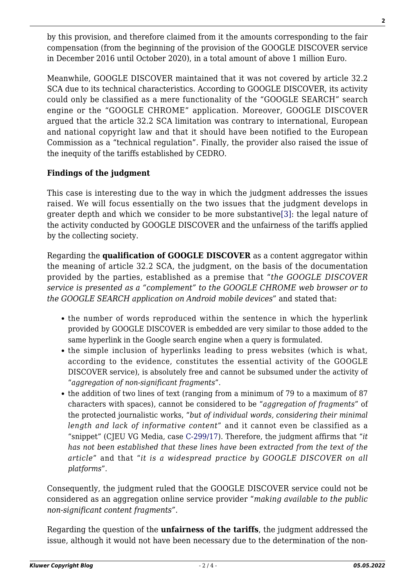by this provision, and therefore claimed from it the amounts corresponding to the fair compensation (from the beginning of the provision of the GOOGLE DISCOVER service in December 2016 until October 2020), in a total amount of above 1 million Euro.

Meanwhile, GOOGLE DISCOVER maintained that it was not covered by article 32.2 SCA due to its technical characteristics. According to GOOGLE DISCOVER, its activity could only be classified as a mere functionality of the "GOOGLE SEARCH" search engine or the "GOOGLE CHROME" application. Moreover, GOOGLE DISCOVER argued that the article 32.2 SCA limitation was contrary to international, European and national copyright law and that it should have been notified to the European Commission as a "technical regulation". Finally, the provider also raised the issue of the inequity of the tariffs established by CEDRO.

#### **Findings of the judgment**

<span id="page-1-0"></span>This case is interesting due to the way in which the judgment addresses the issues raised. We will focus essentially on the two issues that the judgment develops in greater depth and which we consider to be more substantive[\[3\]](#page-2-2): the legal nature of the activity conducted by GOOGLE DISCOVER and the unfairness of the tariffs applied by the collecting society.

Regarding the **qualification of GOOGLE DISCOVER** as a content aggregator within the meaning of article 32.2 SCA, the judgment, on the basis of the documentation provided by the parties, established as a premise that "*the GOOGLE DISCOVER service is presented as a "complement" to the GOOGLE CHROME web browser or to the GOOGLE SEARCH application on Android mobile devices*" and stated that:

- the number of words reproduced within the sentence in which the hyperlink provided by GOOGLE DISCOVER is embedded are very similar to those added to the same hyperlink in the Google search engine when a query is formulated.
- the simple inclusion of hyperlinks leading to press websites (which is what, according to the evidence, constitutes the essential activity of the GOOGLE DISCOVER service), is absolutely free and cannot be subsumed under the activity of "*aggregation of non-significant fragments*".
- the addition of two lines of text (ranging from a minimum of 79 to a maximum of 87 characters with spaces), cannot be considered to be "*aggregation of fragments*" of the protected journalistic works, "*but of individual words, considering their minimal length and lack of informative content*" and it cannot even be classified as a "snippet" (CJEU VG Media, case [C-299/17\)](https://curia.europa.eu/juris/document/document.jsf;jsessionid=46A638611F7526EF9BE17269CE1B8377?text=&docid=217670&pageIndex=0&doclang=en&mode=lst&dir=&occ=first&part=1&cid=2752719). Therefore, the judgment affirms that "*it has not been established that these lines have been extracted from the text of the article*" and that "*it is a widespread practice by GOOGLE DISCOVER on all platforms*".

Consequently, the judgment ruled that the GOOGLE DISCOVER service could not be considered as an aggregation online service provider "*making available to the public non-significant content fragments"*.

Regarding the question of the **unfairness of the tariffs**, the judgment addressed the issue, although it would not have been necessary due to the determination of the non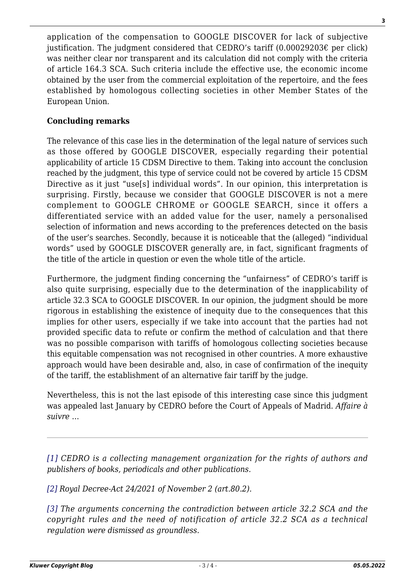application of the compensation to GOOGLE DISCOVER for lack of subjective justification. The judgment considered that CEDRO's tariff  $(0.00029203\varepsilon)$  per click) was neither clear nor transparent and its calculation did not comply with the criteria of article 164.3 SCA. Such criteria include the effective use, the economic income obtained by the user from the commercial exploitation of the repertoire, and the fees established by homologous collecting societies in other Member States of the European Union.

#### **Concluding remarks**

The relevance of this case lies in the determination of the legal nature of services such as those offered by GOOGLE DISCOVER, especially regarding their potential applicability of article 15 CDSM Directive to them. Taking into account the conclusion reached by the judgment, this type of service could not be covered by article 15 CDSM Directive as it just "use[s] individual words". In our opinion, this interpretation is surprising. Firstly, because we consider that GOOGLE DISCOVER is not a mere complement to GOOGLE CHROME or GOOGLE SEARCH, since it offers a differentiated service with an added value for the user, namely a personalised selection of information and news according to the preferences detected on the basis of the user's searches. Secondly, because it is noticeable that the (alleged) "individual words" used by GOOGLE DISCOVER generally are, in fact, significant fragments of the title of the article in question or even the whole title of the article.

Furthermore, the judgment finding concerning the "unfairness" of CEDRO's tariff is also quite surprising, especially due to the determination of the inapplicability of article 32.3 SCA to GOOGLE DISCOVER. In our opinion, the judgment should be more rigorous in establishing the existence of inequity due to the consequences that this implies for other users, especially if we take into account that the parties had not provided specific data to refute or confirm the method of calculation and that there was no possible comparison with tariffs of homologous collecting societies because this equitable compensation was not recognised in other countries. A more exhaustive approach would have been desirable and, also, in case of confirmation of the inequity of the tariff, the establishment of an alternative fair tariff by the judge.

Nevertheless, this is not the last episode of this interesting case since this judgment was appealed last January by CEDRO before the Court of Appeals of Madrid. *Affaire à suivre* …

<span id="page-2-0"></span>*[\[1\]](#page-0-0) CEDRO is a collecting management organization for the rights of authors and publishers of books, periodicals and other publications.*

<span id="page-2-1"></span>*[\[2\]](#page-0-1) Royal Decree-Act 24/2021 of November 2 (art.80.2).*

<span id="page-2-2"></span>*[\[3\]](#page-1-0) The arguments concerning the contradiction between article 32.2 SCA and the copyright rules and the need of notification of article 32.2 SCA as a technical regulation were dismissed as groundless.*